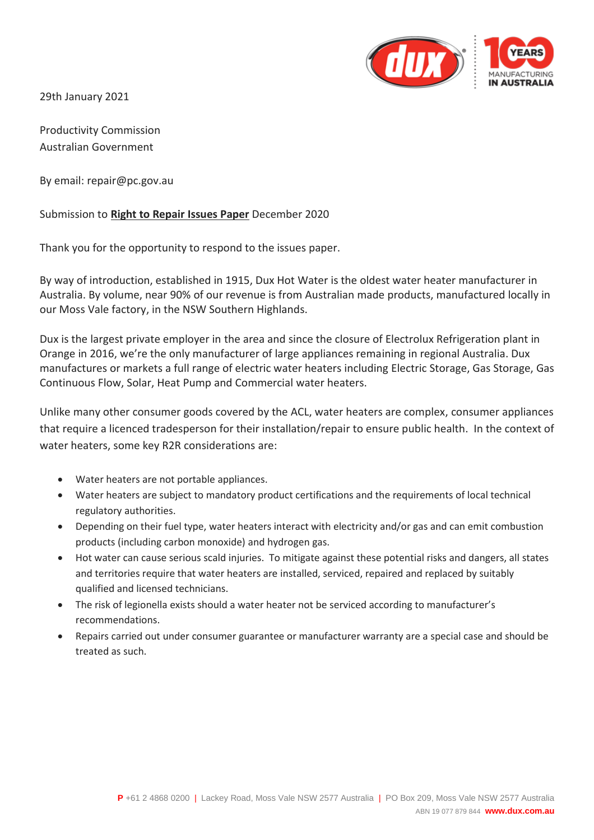

29th January 2021

Productivity Commission Australian Government

By email: repair@pc.gov.au

### Submission to **Right to Repair Issues Paper** December 2020

Thank you for the opportunity to respond to the issues paper.

By way of introduction, established in 1915, Dux Hot Water is the oldest water heater manufacturer in Australia. By volume, near 90% of our revenue is from Australian made products, manufactured locally in our Moss Vale factory, in the NSW Southern Highlands.

Dux is the largest private employer in the area and since the closure of Electrolux Refrigeration plant in Orange in 2016, we're the only manufacturer of large appliances remaining in regional Australia. Dux manufactures or markets a full range of electric water heaters including Electric Storage, Gas Storage, Gas Continuous Flow, Solar, Heat Pump and Commercial water heaters.

Unlike many other consumer goods covered by the ACL, water heaters are complex, consumer appliances that require a licenced tradesperson for their installation/repair to ensure public health. In the context of water heaters, some key R2R considerations are:

- Water heaters are not portable appliances.
- Water heaters are subject to mandatory product certifications and the requirements of local technical regulatory authorities.
- Depending on their fuel type, water heaters interact with electricity and/or gas and can emit combustion products (including carbon monoxide) and hydrogen gas.
- Hot water can cause serious scald injuries. To mitigate against these potential risks and dangers, all states and territories require that water heaters are installed, serviced, repaired and replaced by suitably qualified and licensed technicians.
- The risk of legionella exists should a water heater not be serviced according to manufacturer's recommendations.
- Repairs carried out under consumer guarantee or manufacturer warranty are a special case and should be treated as such.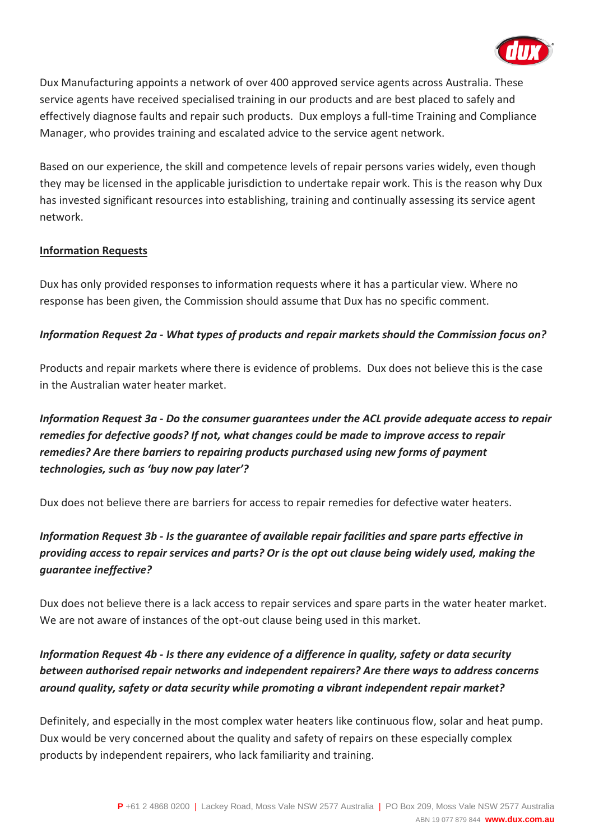

Dux Manufacturing appoints a network of over 400 approved service agents across Australia. These service agents have received specialised training in our products and are best placed to safely and effectively diagnose faults and repair such products. Dux employs a full-time Training and Compliance Manager, who provides training and escalated advice to the service agent network.

Based on our experience, the skill and competence levels of repair persons varies widely, even though they may be licensed in the applicable jurisdiction to undertake repair work. This is the reason why Dux has invested significant resources into establishing, training and continually assessing its service agent network.

### **Information Requests**

Dux has only provided responses to information requests where it has a particular view. Where no response has been given, the Commission should assume that Dux has no specific comment.

### *Information Request 2a - What types of products and repair markets should the Commission focus on?*

Products and repair markets where there is evidence of problems. Dux does not believe this is the case in the Australian water heater market.

*Information Request 3a - Do the consumer guarantees under the ACL provide adequate access to repair remedies for defective goods? If not, what changes could be made to improve access to repair remedies? Are there barriers to repairing products purchased using new forms of payment technologies, such as 'buy now pay later'?*

Dux does not believe there are barriers for access to repair remedies for defective water heaters.

# *Information Request 3b - Is the guarantee of available repair facilities and spare parts effective in providing access to repair services and parts? Or is the opt out clause being widely used, making the guarantee ineffective?*

Dux does not believe there is a lack access to repair services and spare parts in the water heater market. We are not aware of instances of the opt-out clause being used in this market.

# *Information Request 4b - Is there any evidence of a difference in quality, safety or data security between authorised repair networks and independent repairers? Are there ways to address concerns around quality, safety or data security while promoting a vibrant independent repair market?*

Definitely, and especially in the most complex water heaters like continuous flow, solar and heat pump. Dux would be very concerned about the quality and safety of repairs on these especially complex products by independent repairers, who lack familiarity and training.